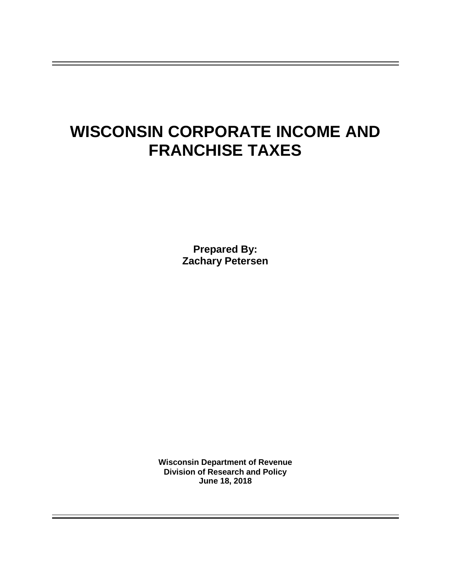# **WISCONSIN CORPORATE INCOME AND FRANCHISE TAXES**

**Prepared By: Zachary Petersen**

**Wisconsin Department of Revenue Division of Research and Policy June 18, 2018**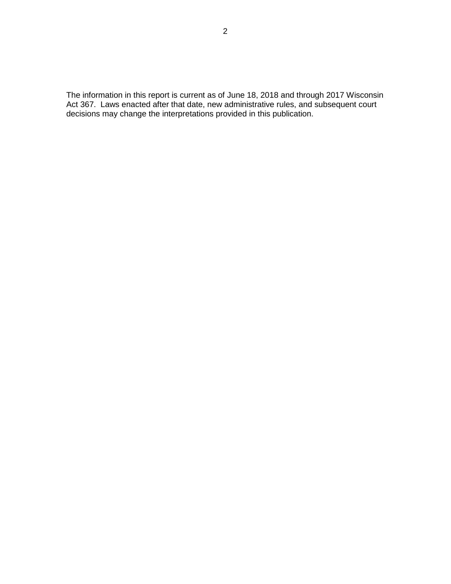The information in this report is current as of June 18, 2018 and through 2017 Wisconsin Act 367. Laws enacted after that date, new administrative rules, and subsequent court decisions may change the interpretations provided in this publication.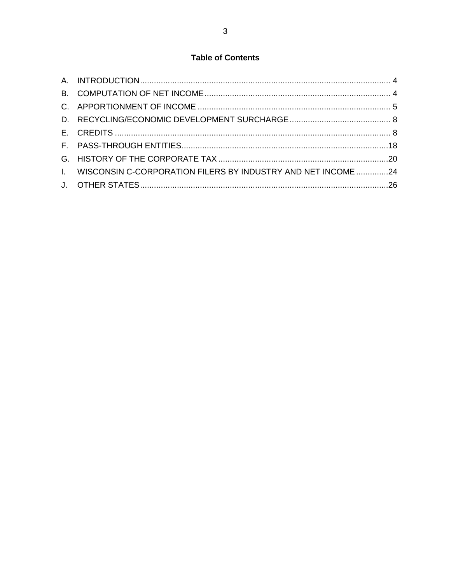# **Table of Contents**

| I. WISCONSIN C-CORPORATION FILERS BY INDUSTRY AND NET INCOME 24 |  |
|-----------------------------------------------------------------|--|
|                                                                 |  |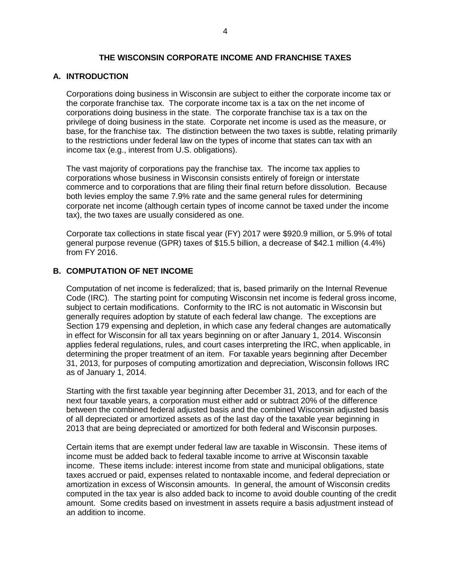## **THE WISCONSIN CORPORATE INCOME AND FRANCHISE TAXES**

#### <span id="page-3-0"></span>**A. INTRODUCTION**

Corporations doing business in Wisconsin are subject to either the corporate income tax or the corporate franchise tax. The corporate income tax is a tax on the net income of corporations doing business in the state. The corporate franchise tax is a tax on the privilege of doing business in the state. Corporate net income is used as the measure, or base, for the franchise tax. The distinction between the two taxes is subtle, relating primarily to the restrictions under federal law on the types of income that states can tax with an income tax (e.g., interest from U.S. obligations).

The vast majority of corporations pay the franchise tax. The income tax applies to corporations whose business in Wisconsin consists entirely of foreign or interstate commerce and to corporations that are filing their final return before dissolution. Because both levies employ the same 7.9% rate and the same general rules for determining corporate net income (although certain types of income cannot be taxed under the income tax), the two taxes are usually considered as one.

Corporate tax collections in state fiscal year (FY) 2017 were \$920.9 million, or 5.9% of total general purpose revenue (GPR) taxes of \$15.5 billion, a decrease of \$42.1 million (4.4%) from FY 2016.

#### <span id="page-3-1"></span>**B. COMPUTATION OF NET INCOME**

Computation of net income is federalized; that is, based primarily on the Internal Revenue Code (IRC). The starting point for computing Wisconsin net income is federal gross income, subject to certain modifications. Conformity to the IRC is not automatic in Wisconsin but generally requires adoption by statute of each federal law change. The exceptions are Section 179 expensing and depletion, in which case any federal changes are automatically in effect for Wisconsin for all tax years beginning on or after January 1, 2014. Wisconsin applies federal regulations, rules, and court cases interpreting the IRC, when applicable, in determining the proper treatment of an item. For taxable years beginning after December 31, 2013, for purposes of computing amortization and depreciation, Wisconsin follows IRC as of January 1, 2014.

Starting with the first taxable year beginning after December 31, 2013, and for each of the next four taxable years, a corporation must either add or subtract 20% of the difference between the combined federal adjusted basis and the combined Wisconsin adjusted basis of all depreciated or amortized assets as of the last day of the taxable year beginning in 2013 that are being depreciated or amortized for both federal and Wisconsin purposes.

Certain items that are exempt under federal law are taxable in Wisconsin. These items of income must be added back to federal taxable income to arrive at Wisconsin taxable income. These items include: interest income from state and municipal obligations, state taxes accrued or paid, expenses related to nontaxable income, and federal depreciation or amortization in excess of Wisconsin amounts. In general, the amount of Wisconsin credits computed in the tax year is also added back to income to avoid double counting of the credit amount. Some credits based on investment in assets require a basis adjustment instead of an addition to income.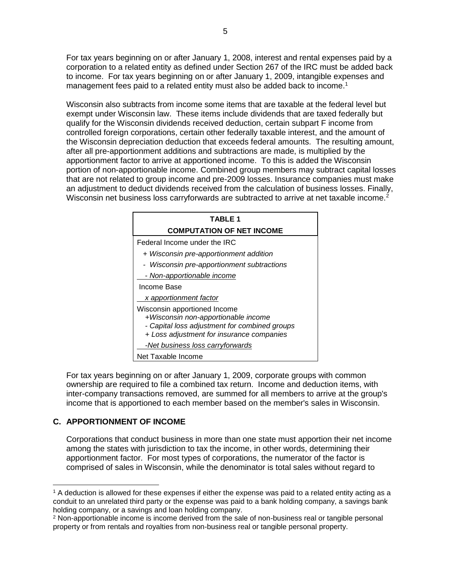For tax years beginning on or after January 1, 2008, interest and rental expenses paid by a corporation to a related entity as defined under Section 267 of the IRC must be added back to income. For tax years beginning on or after January 1, 2009, intangible expenses and management fees paid to a related entity must also be added back to income.<sup>1</sup>

Wisconsin also subtracts from income some items that are taxable at the federal level but exempt under Wisconsin law. These items include dividends that are taxed federally but qualify for the Wisconsin dividends received deduction, certain subpart F income from controlled foreign corporations, certain other federally taxable interest, and the amount of the Wisconsin depreciation deduction that exceeds federal amounts. The resulting amount, after all pre-apportionment additions and subtractions are made, is multiplied by the apportionment factor to arrive at apportioned income. To this is added the Wisconsin portion of non-apportionable income. Combined group members may subtract capital losses that are not related to group income and pre-2009 losses. Insurance companies must make an adjustment to deduct dividends received from the calculation of business losses. Finally, Wisconsin net business loss carryforwards are subtracted to arrive at net taxable income.<sup>2</sup>



For tax years beginning on or after January 1, 2009, corporate groups with common ownership are required to file a combined tax return. Income and deduction items, with inter-company transactions removed, are summed for all members to arrive at the group's income that is apportioned to each member based on the member's sales in Wisconsin.

# <span id="page-4-0"></span>**C. APPORTIONMENT OF INCOME**

Corporations that conduct business in more than one state must apportion their net income among the states with jurisdiction to tax the income, in other words, determining their apportionment factor. For most types of corporations, the numerator of the factor is comprised of sales in Wisconsin, while the denominator is total sales without regard to

<sup>&</sup>lt;sup>1</sup> A deduction is allowed for these expenses if either the expense was paid to a related entity acting as a conduit to an unrelated third party or the expense was paid to a bank holding company, a savings bank holding company, or a savings and loan holding company.

<sup>2</sup> Non-apportionable income is income derived from the sale of non-business real or tangible personal property or from rentals and royalties from non-business real or tangible personal property.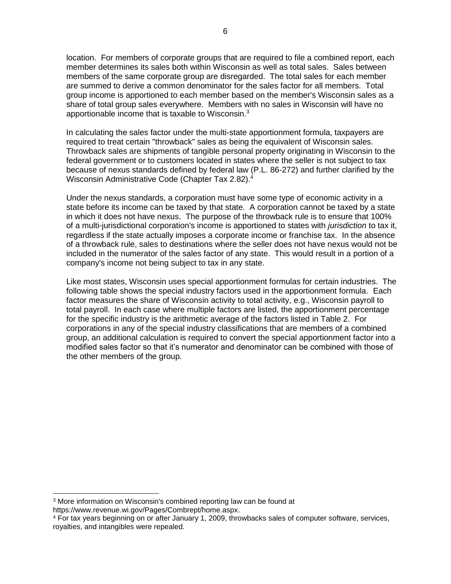location. For members of corporate groups that are required to file a combined report, each member determines its sales both within Wisconsin as well as total sales. Sales between members of the same corporate group are disregarded. The total sales for each member are summed to derive a common denominator for the sales factor for all members. Total group income is apportioned to each member based on the member's Wisconsin sales as a share of total group sales everywhere. Members with no sales in Wisconsin will have no apportionable income that is taxable to Wisconsin.<sup>3</sup>

In calculating the sales factor under the multi-state apportionment formula, taxpayers are required to treat certain "throwback" sales as being the equivalent of Wisconsin sales. Throwback sales are shipments of tangible personal property originating in Wisconsin to the federal government or to customers located in states where the seller is not subject to tax because of nexus standards defined by federal law (P.L. 86-272) and further clarified by the Wisconsin Administrative Code (Chapter Tax 2.82). 4

Under the nexus standards, a corporation must have some type of economic activity in a state before its income can be taxed by that state. A corporation cannot be taxed by a state in which it does not have nexus. The purpose of the throwback rule is to ensure that 100% of a multi-jurisdictional corporation's income is apportioned to states with *jurisdiction* to tax it, regardless if the state actually imposes a corporate income or franchise tax. In the absence of a throwback rule, sales to destinations where the seller does not have nexus would not be included in the numerator of the sales factor of any state. This would result in a portion of a company's income not being subject to tax in any state.

Like most states, Wisconsin uses special apportionment formulas for certain industries. The following table shows the special industry factors used in the apportionment formula. Each factor measures the share of Wisconsin activity to total activity, e.g., Wisconsin payroll to total payroll. In each case where multiple factors are listed, the apportionment percentage for the specific industry is the arithmetic average of the factors listed in Table 2. For corporations in any of the special industry classifications that are members of a combined group, an additional calculation is required to convert the special apportionment factor into a modified sales factor so that it's numerator and denominator can be combined with those of the other members of the group.

<sup>3</sup> More information on Wisconsin's combined reporting law can be found at https://www.revenue.wi.gov/Pages/Combrept/home.aspx.

<sup>4</sup> For tax years beginning on or after January 1, 2009, throwbacks sales of computer software, services, royalties, and intangibles were repealed.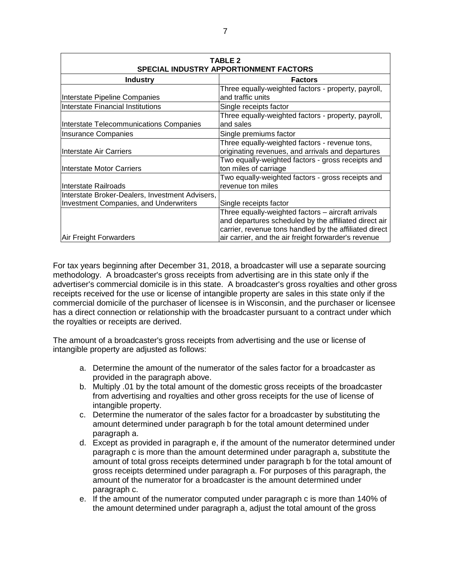| TABLE 2<br>SPECIAL INDUSTRY APPORTIONMENT FACTORS                                                |                                                                                                                |  |  |
|--------------------------------------------------------------------------------------------------|----------------------------------------------------------------------------------------------------------------|--|--|
| <b>Industry</b>                                                                                  | <b>Factors</b>                                                                                                 |  |  |
| Interstate Pipeline Companies                                                                    | Three equally-weighted factors - property, payroll,<br>and traffic units                                       |  |  |
| Interstate Financial Institutions                                                                | Single receipts factor                                                                                         |  |  |
| Interstate Telecommunications Companies                                                          | Three equally-weighted factors - property, payroll,<br>and sales                                               |  |  |
| Insurance Companies                                                                              | Single premiums factor                                                                                         |  |  |
| IInterstate Air Carriers                                                                         | Three equally-weighted factors - revenue tons,<br>originating revenues, and arrivals and departures            |  |  |
| IInterstate Motor Carriers                                                                       | Two equally-weighted factors - gross receipts and<br>ton miles of carriage                                     |  |  |
| IInterstate Railroads                                                                            | Two equally-weighted factors - gross receipts and<br>revenue ton miles                                         |  |  |
| Interstate Broker-Dealers, Investment Advisers,<br><b>Investment Companies, and Underwriters</b> | Single receipts factor                                                                                         |  |  |
|                                                                                                  | Three equally-weighted factors - aircraft arrivals<br>and departures scheduled by the affiliated direct air    |  |  |
| Air Freight Forwarders                                                                           | carrier, revenue tons handled by the affiliated direct<br>air carrier, and the air freight forwarder's revenue |  |  |

For tax years beginning after December 31, 2018, a broadcaster will use a separate sourcing methodology. A broadcaster's gross receipts from advertising are in this state only if the advertiser's commercial domicile is in this state. A broadcaster's gross royalties and other gross receipts received for the use or license of intangible property are sales in this state only if the commercial domicile of the purchaser of licensee is in Wisconsin, and the purchaser or licensee has a direct connection or relationship with the broadcaster pursuant to a contract under which the royalties or receipts are derived.

The amount of a broadcaster's gross receipts from advertising and the use or license of intangible property are adjusted as follows:

- a. Determine the amount of the numerator of the sales factor for a broadcaster as provided in the paragraph above.
- b. Multiply .01 by the total amount of the domestic gross receipts of the broadcaster from advertising and royalties and other gross receipts for the use of license of intangible property.
- c. Determine the numerator of the sales factor for a broadcaster by substituting the amount determined under paragraph b for the total amount determined under paragraph a.
- d. Except as provided in paragraph e, if the amount of the numerator determined under paragraph c is more than the amount determined under paragraph a, substitute the amount of total gross receipts determined under paragraph b for the total amount of gross receipts determined under paragraph a. For purposes of this paragraph, the amount of the numerator for a broadcaster is the amount determined under paragraph c.
- e. If the amount of the numerator computed under paragraph c is more than 140% of the amount determined under paragraph a, adjust the total amount of the gross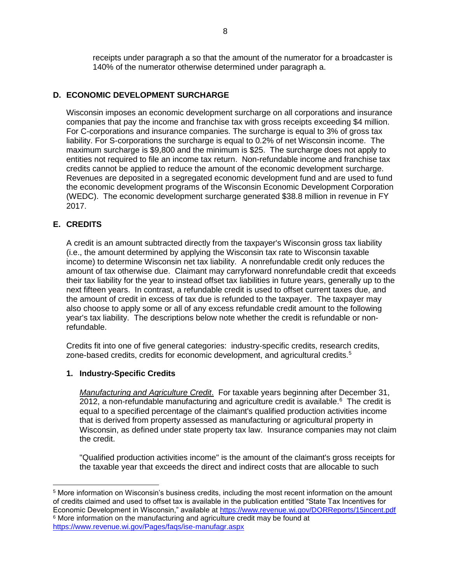receipts under paragraph a so that the amount of the numerator for a broadcaster is 140% of the numerator otherwise determined under paragraph a.

# <span id="page-7-0"></span>**D. ECONOMIC DEVELOPMENT SURCHARGE**

Wisconsin imposes an economic development surcharge on all corporations and insurance companies that pay the income and franchise tax with gross receipts exceeding \$4 million. For C-corporations and insurance companies. The surcharge is equal to 3% of gross tax liability. For S-corporations the surcharge is equal to 0.2% of net Wisconsin income. The maximum surcharge is \$9,800 and the minimum is \$25. The surcharge does not apply to entities not required to file an income tax return. Non-refundable income and franchise tax credits cannot be applied to reduce the amount of the economic development surcharge. Revenues are deposited in a segregated economic development fund and are used to fund the economic development programs of the Wisconsin Economic Development Corporation (WEDC). The economic development surcharge generated \$38.8 million in revenue in FY 2017.

# <span id="page-7-1"></span>**E. CREDITS**

A credit is an amount subtracted directly from the taxpayer's Wisconsin gross tax liability (i.e., the amount determined by applying the Wisconsin tax rate to Wisconsin taxable income) to determine Wisconsin net tax liability. A nonrefundable credit only reduces the amount of tax otherwise due. Claimant may carryforward nonrefundable credit that exceeds their tax liability for the year to instead offset tax liabilities in future years, generally up to the next fifteen years. In contrast, a refundable credit is used to offset current taxes due, and the amount of credit in excess of tax due is refunded to the taxpayer. The taxpayer may also choose to apply some or all of any excess refundable credit amount to the following year's tax liability. The descriptions below note whether the credit is refundable or nonrefundable.

Credits fit into one of five general categories: industry-specific credits, research credits, zone-based credits, credits for economic development, and agricultural credits.<sup>5</sup>

# **1. Industry-Specific Credits**

*Manufacturing and Agriculture Credit*. For taxable years beginning after December 31, 2012, a non-refundable manufacturing and agriculture credit is available. $6$  The credit is equal to a specified percentage of the claimant's qualified production activities income that is derived from property assessed as manufacturing or agricultural property in Wisconsin, as defined under state property tax law. Insurance companies may not claim the credit.

"Qualified production activities income" is the amount of the claimant's gross receipts for the taxable year that exceeds the direct and indirect costs that are allocable to such

<sup>5</sup> More information on Wisconsin's business credits, including the most recent information on the amount of credits claimed and used to offset tax is available in the publication entitled "State Tax Incentives for Economic Development in Wisconsin," available at<https://www.revenue.wi.gov/DORReports/15incent.pdf> <sup>6</sup> More information on the manufacturing and agriculture credit may be found at <https://www.revenue.wi.gov/Pages/faqs/ise-manufagr.aspx>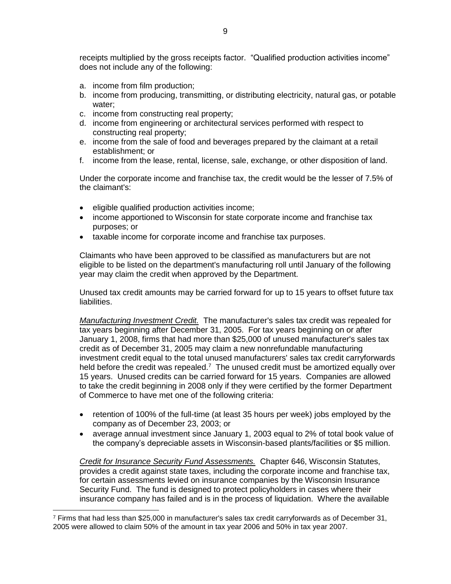receipts multiplied by the gross receipts factor. "Qualified production activities income" does not include any of the following:

a. income from film production;

- b. income from producing, transmitting, or distributing electricity, natural gas, or potable water;
- c. income from constructing real property;
- d. income from engineering or architectural services performed with respect to constructing real property;
- e. income from the sale of food and beverages prepared by the claimant at a retail establishment; or
- f. income from the lease, rental, license, sale, exchange, or other disposition of land.

Under the corporate income and franchise tax, the credit would be the lesser of 7.5% of the claimant's:

- **e** eligible qualified production activities income;
- income apportioned to Wisconsin for state corporate income and franchise tax purposes; or
- taxable income for corporate income and franchise tax purposes.

Claimants who have been approved to be classified as manufacturers but are not eligible to be listed on the department's manufacturing roll until January of the following year may claim the credit when approved by the Department.

Unused tax credit amounts may be carried forward for up to 15 years to offset future tax liabilities.

*Manufacturing Investment Credit.*The manufacturer's sales tax credit was repealed for tax years beginning after December 31, 2005. For tax years beginning on or after January 1, 2008, firms that had more than \$25,000 of unused manufacturer's sales tax credit as of December 31, 2005 may claim a new nonrefundable manufacturing investment credit equal to the total unused manufacturers' sales tax credit carryforwards held before the credit was repealed.<sup>7</sup> The unused credit must be amortized equally over 15 years. Unused credits can be carried forward for 15 years. Companies are allowed to take the credit beginning in 2008 only if they were certified by the former Department of Commerce to have met one of the following criteria:

- retention of 100% of the full-time (at least 35 hours per week) jobs employed by the company as of December 23, 2003; or
- average annual investment since January 1, 2003 equal to 2% of total book value of the company's depreciable assets in Wisconsin-based plants/facilities or \$5 million.

*Credit for Insurance Security Fund Assessments.*Chapter 646, Wisconsin Statutes, provides a credit against state taxes, including the corporate income and franchise tax, for certain assessments levied on insurance companies by the Wisconsin Insurance Security Fund. The fund is designed to protect policyholders in cases where their insurance company has failed and is in the process of liquidation. Where the available

<sup>7</sup> Firms that had less than \$25,000 in manufacturer's sales tax credit carryforwards as of December 31, 2005 were allowed to claim 50% of the amount in tax year 2006 and 50% in tax year 2007.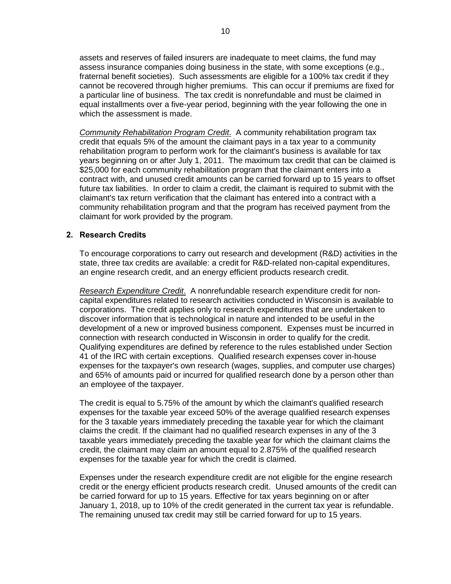assets and reserves of failed insurers are inadequate to meet claims, the fund may assess insurance companies doing business in the state, with some exceptions (e.g., fraternal benefit societies). Such assessments are eligible for a 100% tax credit if they cannot be recovered through higher premiums. This can occur if premiums are fixed for a particular line of business. The tax credit is nonrefundable and must be claimed in equal installments over a five-year period, beginning with the year following the one in which the assessment is made.

*Community Rehabilitation Program Credit*. A community rehabilitation program tax credit that equals 5% of the amount the claimant pays in a tax year to a community rehabilitation program to perform work for the claimant's business is available for tax years beginning on or after July 1, 2011. The maximum tax credit that can be claimed is \$25,000 for each community rehabilitation program that the claimant enters into a contract with, and unused credit amounts can be carried forward up to 15 years to offset future tax liabilities. In order to claim a credit, the claimant is required to submit with the claimant's tax return verification that the claimant has entered into a contract with a community rehabilitation program and that the program has received payment from the claimant for work provided by the program.

#### **2. Research Credits**

To encourage corporations to carry out research and development (R&D) activities in the state, three tax credits are available: a credit for R&D-related non-capital expenditures, an engine research credit, and an energy efficient products research credit.

*Research Expenditure Credit*. A nonrefundable research expenditure credit for noncapital expenditures related to research activities conducted in Wisconsin is available to corporations. The credit applies only to research expenditures that are undertaken to discover information that is technological in nature and intended to be useful in the development of a new or improved business component. Expenses must be incurred in connection with research conducted in Wisconsin in order to qualify for the credit. Qualifying expenditures are defined by reference to the rules established under Section 41 of the IRC with certain exceptions. Qualified research expenses cover in-house expenses for the taxpayer's own research (wages, supplies, and computer use charges) and 65% of amounts paid or incurred for qualified research done by a person other than an employee of the taxpayer.

The credit is equal to 5.75% of the amount by which the claimant's qualified research expenses for the taxable year exceed 50% of the average qualified research expenses for the 3 taxable years immediately preceding the taxable year for which the claimant claims the credit. If the claimant had no qualified research expenses in any of the 3 taxable years immediately preceding the taxable year for which the claimant claims the credit, the claimant may claim an amount equal to 2.875% of the qualified research expenses for the taxable year for which the credit is claimed.

Expenses under the research expenditure credit are not eligible for the engine research credit or the energy efficient products research credit. Unused amounts of the credit can be carried forward for up to 15 years. Effective for tax years beginning on or after January 1, 2018, up to 10% of the credit generated in the current tax year is refundable. The remaining unused tax credit may still be carried forward for up to 15 years.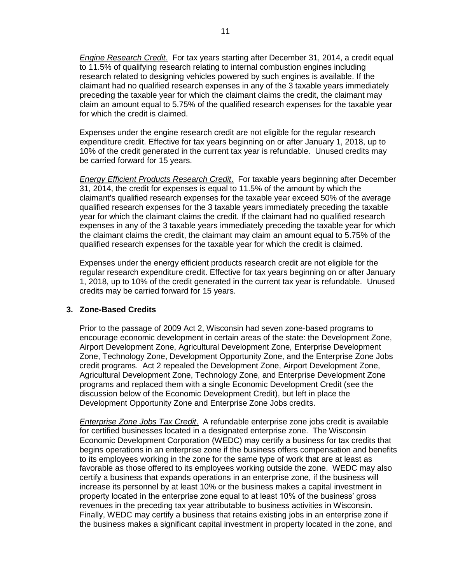*Engine Research Credit*. For tax years starting after December 31, 2014, a credit equal to 11.5% of qualifying research relating to internal combustion engines including research related to designing vehicles powered by such engines is available. If the claimant had no qualified research expenses in any of the 3 taxable years immediately preceding the taxable year for which the claimant claims the credit, the claimant may claim an amount equal to 5.75% of the qualified research expenses for the taxable year for which the credit is claimed.

Expenses under the engine research credit are not eligible for the regular research expenditure credit. Effective for tax years beginning on or after January 1, 2018, up to 10% of the credit generated in the current tax year is refundable. Unused credits may be carried forward for 15 years.

*Energy Efficient Products Research Credit*. For taxable years beginning after December 31, 2014, the credit for expenses is equal to 11.5% of the amount by which the claimant's qualified research expenses for the taxable year exceed 50% of the average qualified research expenses for the 3 taxable years immediately preceding the taxable year for which the claimant claims the credit. If the claimant had no qualified research expenses in any of the 3 taxable years immediately preceding the taxable year for which the claimant claims the credit, the claimant may claim an amount equal to 5.75% of the qualified research expenses for the taxable year for which the credit is claimed.

Expenses under the energy efficient products research credit are not eligible for the regular research expenditure credit. Effective for tax years beginning on or after January 1, 2018, up to 10% of the credit generated in the current tax year is refundable. Unused credits may be carried forward for 15 years.

#### **3. Zone-Based Credits**

Prior to the passage of 2009 Act 2, Wisconsin had seven zone-based programs to encourage economic development in certain areas of the state: the Development Zone, Airport Development Zone, Agricultural Development Zone, Enterprise Development Zone, Technology Zone, Development Opportunity Zone, and the Enterprise Zone Jobs credit programs. Act 2 repealed the Development Zone, Airport Development Zone, Agricultural Development Zone, Technology Zone, and Enterprise Development Zone programs and replaced them with a single Economic Development Credit (see the discussion below of the Economic Development Credit), but left in place the Development Opportunity Zone and Enterprise Zone Jobs credits.

*Enterprise Zone Jobs Tax Credit*. A refundable enterprise zone jobs credit is available for certified businesses located in a designated enterprise zone. The Wisconsin Economic Development Corporation (WEDC) may certify a business for tax credits that begins operations in an enterprise zone if the business offers compensation and benefits to its employees working in the zone for the same type of work that are at least as favorable as those offered to its employees working outside the zone. WEDC may also certify a business that expands operations in an enterprise zone, if the business will increase its personnel by at least 10% or the business makes a capital investment in property located in the enterprise zone equal to at least 10% of the business' gross revenues in the preceding tax year attributable to business activities in Wisconsin. Finally, WEDC may certify a business that retains existing jobs in an enterprise zone if the business makes a significant capital investment in property located in the zone, and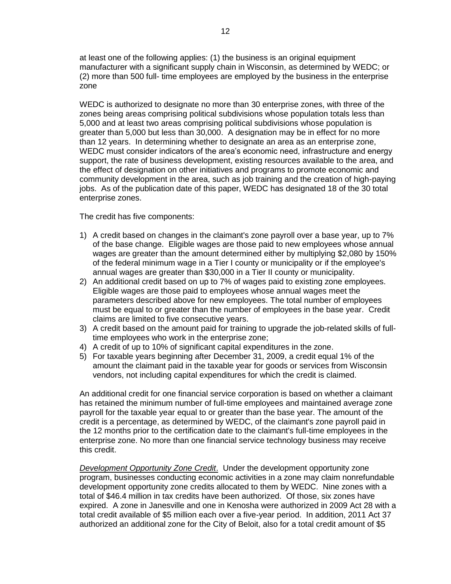at least one of the following applies: (1) the business is an original equipment manufacturer with a significant supply chain in Wisconsin, as determined by WEDC; or (2) more than 500 full- time employees are employed by the business in the enterprise zone

WEDC is authorized to designate no more than 30 enterprise zones, with three of the zones being areas comprising political subdivisions whose population totals less than 5,000 and at least two areas comprising political subdivisions whose population is greater than 5,000 but less than 30,000. A designation may be in effect for no more than 12 years. In determining whether to designate an area as an enterprise zone, WEDC must consider indicators of the area's economic need, infrastructure and energy support, the rate of business development, existing resources available to the area, and the effect of designation on other initiatives and programs to promote economic and community development in the area, such as job training and the creation of high-paying iobs. As of the publication date of this paper, WEDC has designated 18 of the 30 total enterprise zones.

The credit has five components:

- 1) A credit based on changes in the claimant's zone payroll over a base year, up to 7% of the base change. Eligible wages are those paid to new employees whose annual wages are greater than the amount determined either by multiplying \$2,080 by 150% of the federal minimum wage in a Tier I county or municipality or if the employee's annual wages are greater than \$30,000 in a Tier II county or municipality.
- 2) An additional credit based on up to 7% of wages paid to existing zone employees. Eligible wages are those paid to employees whose annual wages meet the parameters described above for new employees. The total number of employees must be equal to or greater than the number of employees in the base year. Credit claims are limited to five consecutive years.
- 3) A credit based on the amount paid for training to upgrade the job-related skills of fulltime employees who work in the enterprise zone;
- 4) A credit of up to 10% of significant capital expenditures in the zone.
- 5) For taxable years beginning after December 31, 2009, a credit equal 1% of the amount the claimant paid in the taxable year for goods or services from Wisconsin vendors, not including capital expenditures for which the credit is claimed.

An additional credit for one financial service corporation is based on whether a claimant has retained the minimum number of full-time employees and maintained average zone payroll for the taxable year equal to or greater than the base year. The amount of the credit is a percentage, as determined by WEDC, of the claimant's zone payroll paid in the 12 months prior to the certification date to the claimant's full-time employees in the enterprise zone. No more than one financial service technology business may receive this credit.

*Development Opportunity Zone Credit*. Under the development opportunity zone program, businesses conducting economic activities in a zone may claim nonrefundable development opportunity zone credits allocated to them by WEDC. Nine zones with a total of \$46.4 million in tax credits have been authorized. Of those, six zones have expired. A zone in Janesville and one in Kenosha were authorized in 2009 Act 28 with a total credit available of \$5 million each over a five-year period. In addition, 2011 Act 37 authorized an additional zone for the City of Beloit, also for a total credit amount of \$5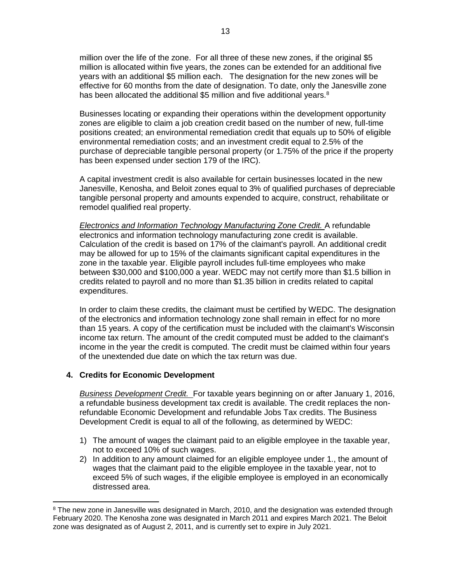million over the life of the zone. For all three of these new zones, if the original \$5 million is allocated within five years, the zones can be extended for an additional five years with an additional \$5 million each. The designation for the new zones will be effective for 60 months from the date of designation. To date, only the Janesville zone has been allocated the additional \$5 million and five additional vears.<sup>8</sup>

Businesses locating or expanding their operations within the development opportunity zones are eligible to claim a job creation credit based on the number of new, full-time positions created; an environmental remediation credit that equals up to 50% of eligible environmental remediation costs; and an investment credit equal to 2.5% of the purchase of depreciable tangible personal property (or 1.75% of the price if the property has been expensed under section 179 of the IRC).

A capital investment credit is also available for certain businesses located in the new Janesville, Kenosha, and Beloit zones equal to 3% of qualified purchases of depreciable tangible personal property and amounts expended to acquire, construct, rehabilitate or remodel qualified real property.

*Electronics and Information Technology Manufacturing Zone Credit.* A refundable electronics and information technology manufacturing zone credit is available. Calculation of the credit is based on 17% of the claimant's payroll. An additional credit may be allowed for up to 15% of the claimants significant capital expenditures in the zone in the taxable year. Eligible payroll includes full-time employees who make between \$30,000 and \$100,000 a year. WEDC may not certify more than \$1.5 billion in credits related to payroll and no more than \$1.35 billion in credits related to capital expenditures.

In order to claim these credits, the claimant must be certified by WEDC. The designation of the electronics and information technology zone shall remain in effect for no more than 15 years. A copy of the certification must be included with the claimant's Wisconsin income tax return. The amount of the credit computed must be added to the claimant's income in the year the credit is computed. The credit must be claimed within four years of the unextended due date on which the tax return was due.

#### **4. Credits for Economic Development**

 $\overline{a}$ 

*Business Development Credit.* For taxable years beginning on or after January 1, 2016, a refundable business development tax credit is available. The credit replaces the nonrefundable Economic Development and refundable Jobs Tax credits. The Business Development Credit is equal to all of the following, as determined by WEDC:

- 1) The amount of wages the claimant paid to an eligible employee in the taxable year, not to exceed 10% of such wages.
- 2) In addition to any amount claimed for an eligible employee under 1., the amount of wages that the claimant paid to the eligible employee in the taxable year, not to exceed 5% of such wages, if the eligible employee is employed in an economically distressed area.

<sup>&</sup>lt;sup>8</sup> The new zone in Janesville was designated in March, 2010, and the designation was extended through February 2020. The Kenosha zone was designated in March 2011 and expires March 2021. The Beloit zone was designated as of August 2, 2011, and is currently set to expire in July 2021.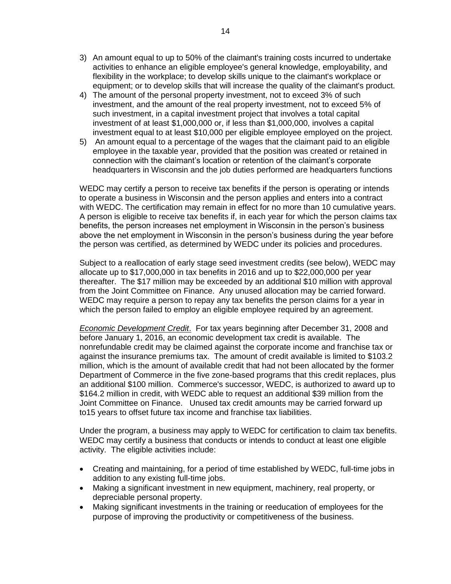- 3) An amount equal to up to 50% of the claimant's training costs incurred to undertake activities to enhance an eligible employee's general knowledge, employability, and flexibility in the workplace; to develop skills unique to the claimant's workplace or equipment; or to develop skills that will increase the quality of the claimant's product.
- 4) The amount of the personal property investment, not to exceed 3% of such investment, and the amount of the real property investment, not to exceed 5% of such investment, in a capital investment project that involves a total capital investment of at least \$1,000,000 or, if less than \$1,000,000, involves a capital investment equal to at least \$10,000 per eligible employee employed on the project.
- 5) An amount equal to a percentage of the wages that the claimant paid to an eligible employee in the taxable year, provided that the position was created or retained in connection with the claimant's location or retention of the claimant's corporate headquarters in Wisconsin and the job duties performed are headquarters functions

WEDC may certify a person to receive tax benefits if the person is operating or intends to operate a business in Wisconsin and the person applies and enters into a contract with WEDC. The certification may remain in effect for no more than 10 cumulative years. A person is eligible to receive tax benefits if, in each year for which the person claims tax benefits, the person increases net employment in Wisconsin in the person's business above the net employment in Wisconsin in the person's business during the year before the person was certified, as determined by WEDC under its policies and procedures.

Subject to a reallocation of early stage seed investment credits (see below), WEDC may allocate up to \$17,000,000 in tax benefits in 2016 and up to \$22,000,000 per year thereafter. The \$17 million may be exceeded by an additional \$10 million with approval from the Joint Committee on Finance. Any unused allocation may be carried forward. WEDC may require a person to repay any tax benefits the person claims for a year in which the person failed to employ an eligible employee required by an agreement.

*Economic Development Credit*. For tax years beginning after December 31, 2008 and before January 1, 2016, an economic development tax credit is available. The nonrefundable credit may be claimed against the corporate income and franchise tax or against the insurance premiums tax. The amount of credit available is limited to \$103.2 million, which is the amount of available credit that had not been allocated by the former Department of Commerce in the five zone-based programs that this credit replaces, plus an additional \$100 million. Commerce's successor, WEDC, is authorized to award up to \$164.2 million in credit, with WEDC able to request an additional \$39 million from the Joint Committee on Finance. Unused tax credit amounts may be carried forward up to15 years to offset future tax income and franchise tax liabilities.

Under the program, a business may apply to WEDC for certification to claim tax benefits. WEDC may certify a business that conducts or intends to conduct at least one eligible activity. The eligible activities include:

- Creating and maintaining, for a period of time established by WEDC, full-time jobs in addition to any existing full-time jobs.
- Making a significant investment in new equipment, machinery, real property, or depreciable personal property.
- Making significant investments in the training or reeducation of employees for the purpose of improving the productivity or competitiveness of the business.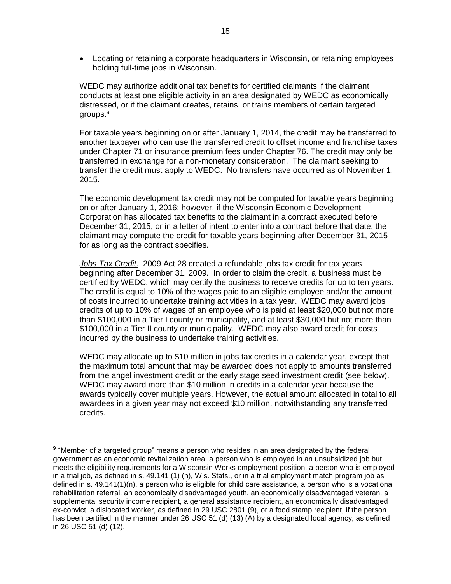Locating or retaining a corporate headquarters in Wisconsin, or retaining employees holding full-time jobs in Wisconsin.

WEDC may authorize additional tax benefits for certified claimants if the claimant conducts at least one eligible activity in an area designated by WEDC as economically distressed, or if the claimant creates, retains, or trains members of certain targeted groups. 9

For taxable years beginning on or after January 1, 2014, the credit may be transferred to another taxpayer who can use the transferred credit to offset income and franchise taxes under Chapter 71 or insurance premium fees under Chapter 76. The credit may only be transferred in exchange for a non-monetary consideration. The claimant seeking to transfer the credit must apply to WEDC. No transfers have occurred as of November 1, 2015.

The economic development tax credit may not be computed for taxable years beginning on or after January 1, 2016; however, if the Wisconsin Economic Development Corporation has allocated tax benefits to the claimant in a contract executed before December 31, 2015, or in a letter of intent to enter into a contract before that date, the claimant may compute the credit for taxable years beginning after December 31, 2015 for as long as the contract specifies.

*Jobs Tax Credit*. 2009 Act 28 created a refundable jobs tax credit for tax years beginning after December 31, 2009. In order to claim the credit, a business must be certified by WEDC, which may certify the business to receive credits for up to ten years. The credit is equal to 10% of the wages paid to an eligible employee and/or the amount of costs incurred to undertake training activities in a tax year. WEDC may award jobs credits of up to 10% of wages of an employee who is paid at least \$20,000 but not more than \$100,000 in a Tier I county or municipality, and at least \$30,000 but not more than \$100,000 in a Tier II county or municipality. WEDC may also award credit for costs incurred by the business to undertake training activities.

WEDC may allocate up to \$10 million in jobs tax credits in a calendar year, except that the maximum total amount that may be awarded does not apply to amounts transferred from the angel investment credit or the early stage seed investment credit (see below). WEDC may award more than \$10 million in credits in a calendar year because the awards typically cover multiple years. However, the actual amount allocated in total to all awardees in a given year may not exceed \$10 million, notwithstanding any transferred credits.

 $^9$  "Member of a targeted group" means a person who resides in an area designated by the federal government as an economic revitalization area, a person who is employed in an unsubsidized job but meets the eligibility requirements for a Wisconsin Works employment position, a person who is employed in a trial job, as defined in s. 49.141 (1) (n), Wis. Stats., or in a trial employment match program job as defined in s. 49.141(1)(n), a person who is eligible for child care assistance, a person who is a vocational rehabilitation referral, an economically disadvantaged youth, an economically disadvantaged veteran, a supplemental security income recipient, a general assistance recipient, an economically disadvantaged ex-convict, a dislocated worker, as defined in 29 USC 2801 (9), or a food stamp recipient, if the person has been certified in the manner under 26 USC 51 (d) (13) (A) by a designated local agency, as defined in 26 USC 51 (d) (12).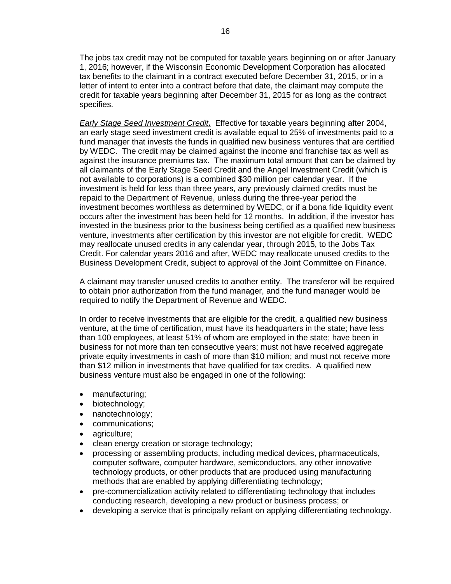The jobs tax credit may not be computed for taxable years beginning on or after January 1, 2016; however, if the Wisconsin Economic Development Corporation has allocated tax benefits to the claimant in a contract executed before December 31, 2015, or in a letter of intent to enter into a contract before that date, the claimant may compute the credit for taxable years beginning after December 31, 2015 for as long as the contract specifies.

*Early Stage Seed Investment Credit***.** Effective for taxable years beginning after 2004, an early stage seed investment credit is available equal to 25% of investments paid to a fund manager that invests the funds in qualified new business ventures that are certified by WEDC. The credit may be claimed against the income and franchise tax as well as against the insurance premiums tax. The maximum total amount that can be claimed by all claimants of the Early Stage Seed Credit and the Angel Investment Credit (which is not available to corporations) is a combined \$30 million per calendar year. If the investment is held for less than three years, any previously claimed credits must be repaid to the Department of Revenue, unless during the three-year period the investment becomes worthless as determined by WEDC, or if a bona fide liquidity event occurs after the investment has been held for 12 months. In addition, if the investor has invested in the business prior to the business being certified as a qualified new business venture, investments after certification by this investor are not eligible for credit. WEDC may reallocate unused credits in any calendar year, through 2015, to the Jobs Tax Credit. For calendar years 2016 and after, WEDC may reallocate unused credits to the Business Development Credit, subject to approval of the Joint Committee on Finance.

A claimant may transfer unused credits to another entity. The transferor will be required to obtain prior authorization from the fund manager, and the fund manager would be required to notify the Department of Revenue and WEDC.

In order to receive investments that are eligible for the credit, a qualified new business venture, at the time of certification, must have its headquarters in the state; have less than 100 employees, at least 51% of whom are employed in the state; have been in business for not more than ten consecutive years; must not have received aggregate private equity investments in cash of more than \$10 million; and must not receive more than \$12 million in investments that have qualified for tax credits. A qualified new business venture must also be engaged in one of the following:

- manufacturing;
- biotechnology;
- nanotechnology;
- communications;
- agriculture;
- clean energy creation or storage technology;
- processing or assembling products, including medical devices, pharmaceuticals, computer software, computer hardware, semiconductors, any other innovative technology products, or other products that are produced using manufacturing methods that are enabled by applying differentiating technology;
- pre-commercialization activity related to differentiating technology that includes conducting research, developing a new product or business process; or
- developing a service that is principally reliant on applying differentiating technology.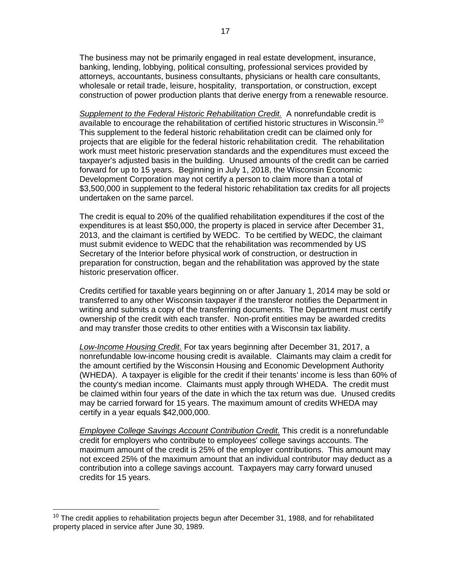The business may not be primarily engaged in real estate development, insurance, banking, lending, lobbying, political consulting, professional services provided by attorneys, accountants, business consultants, physicians or health care consultants, wholesale or retail trade, leisure, hospitality, transportation, or construction, except construction of power production plants that derive energy from a renewable resource.

*Supplement to the Federal Historic Rehabilitation Credit.*A nonrefundable credit is available to encourage the rehabilitation of certified historic structures in Wisconsin.<sup>10</sup> This supplement to the federal historic rehabilitation credit can be claimed only for projects that are eligible for the federal historic rehabilitation credit. The rehabilitation work must meet historic preservation standards and the expenditures must exceed the taxpayer's adjusted basis in the building. Unused amounts of the credit can be carried forward for up to 15 years. Beginning in July 1, 2018, the Wisconsin Economic Development Corporation may not certify a person to claim more than a total of \$3,500,000 in supplement to the federal historic rehabilitation tax credits for all projects undertaken on the same parcel.

The credit is equal to 20% of the qualified rehabilitation expenditures if the cost of the expenditures is at least \$50,000, the property is placed in service after December 31, 2013, and the claimant is certified by WEDC. To be certified by WEDC, the claimant must submit evidence to WEDC that the rehabilitation was recommended by US Secretary of the Interior before physical work of construction, or destruction in preparation for construction, began and the rehabilitation was approved by the state historic preservation officer.

Credits certified for taxable years beginning on or after January 1, 2014 may be sold or transferred to any other Wisconsin taxpayer if the transferor notifies the Department in writing and submits a copy of the transferring documents. The Department must certify ownership of the credit with each transfer. Non-profit entities may be awarded credits and may transfer those credits to other entities with a Wisconsin tax liability.

*Low-Income Housing Credit.* For tax years beginning after December 31, 2017, a nonrefundable low-income housing credit is available. Claimants may claim a credit for the amount certified by the Wisconsin Housing and Economic Development Authority (WHEDA). A taxpayer is eligible for the credit if their tenants' income is less than 60% of the county's median income. Claimants must apply through WHEDA. The credit must be claimed within four years of the date in which the tax return was due. Unused credits may be carried forward for 15 years. The maximum amount of credits WHEDA may certify in a year equals \$42,000,000.

*Employee College Savings Account Contribution Credit.* This credit is a nonrefundable credit for employers who contribute to employees' college savings accounts. The maximum amount of the credit is 25% of the employer contributions. This amount may not exceed 25% of the maximum amount that an individual contributor may deduct as a contribution into a college savings account. Taxpayers may carry forward unused credits for 15 years.

 $10$  The credit applies to rehabilitation projects begun after December 31, 1988, and for rehabilitated property placed in service after June 30, 1989.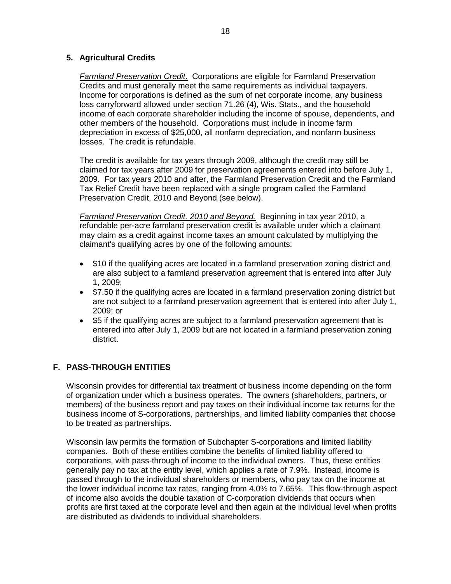# **5. Agricultural Credits**

*Farmland Preservation Credit*. Corporations are eligible for Farmland Preservation Credits and must generally meet the same requirements as individual taxpayers. Income for corporations is defined as the sum of net corporate income, any business loss carryforward allowed under section 71.26 (4), Wis. Stats., and the household income of each corporate shareholder including the income of spouse, dependents, and other members of the household. Corporations must include in income farm depreciation in excess of \$25,000, all nonfarm depreciation, and nonfarm business losses. The credit is refundable.

The credit is available for tax years through 2009, although the credit may still be claimed for tax years after 2009 for preservation agreements entered into before July 1, 2009. For tax years 2010 and after, the Farmland Preservation Credit and the Farmland Tax Relief Credit have been replaced with a single program called the Farmland Preservation Credit, 2010 and Beyond (see below).

*Farmland Preservation Credit, 2010 and Beyond.* Beginning in tax year 2010, a refundable per-acre farmland preservation credit is available under which a claimant may claim as a credit against income taxes an amount calculated by multiplying the claimant's qualifying acres by one of the following amounts:

- \$10 if the qualifying acres are located in a farmland preservation zoning district and are also subject to a farmland preservation agreement that is entered into after July 1, 2009;
- \$7.50 if the qualifying acres are located in a farmland preservation zoning district but are not subject to a farmland preservation agreement that is entered into after July 1, 2009; or
- \$5 if the qualifying acres are subject to a farmland preservation agreement that is entered into after July 1, 2009 but are not located in a farmland preservation zoning district.

# <span id="page-17-0"></span>**F. PASS-THROUGH ENTITIES**

Wisconsin provides for differential tax treatment of business income depending on the form of organization under which a business operates. The owners (shareholders, partners, or members) of the business report and pay taxes on their individual income tax returns for the business income of S-corporations, partnerships, and limited liability companies that choose to be treated as partnerships.

Wisconsin law permits the formation of Subchapter S-corporations and limited liability companies. Both of these entities combine the benefits of limited liability offered to corporations, with pass-through of income to the individual owners. Thus, these entities generally pay no tax at the entity level, which applies a rate of 7.9%. Instead, income is passed through to the individual shareholders or members, who pay tax on the income at the lower individual income tax rates, ranging from 4.0% to 7.65%. This flow-through aspect of income also avoids the double taxation of C-corporation dividends that occurs when profits are first taxed at the corporate level and then again at the individual level when profits are distributed as dividends to individual shareholders.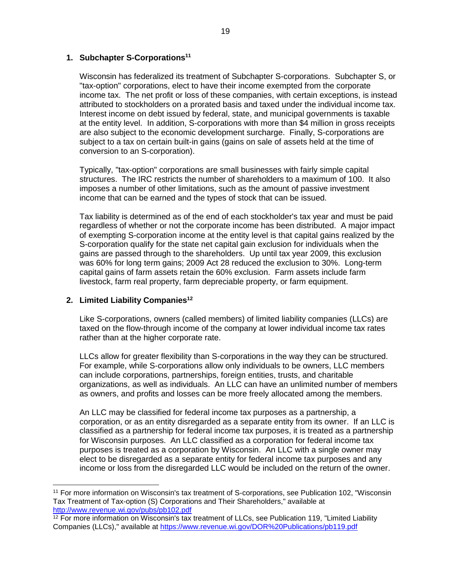# **1. Subchapter S-Corporations<sup>11</sup>**

Wisconsin has federalized its treatment of Subchapter S-corporations. Subchapter S, or "tax-option" corporations, elect to have their income exempted from the corporate income tax. The net profit or loss of these companies, with certain exceptions, is instead attributed to stockholders on a prorated basis and taxed under the individual income tax. Interest income on debt issued by federal, state, and municipal governments is taxable at the entity level. In addition, S-corporations with more than \$4 million in gross receipts are also subject to the economic development surcharge. Finally, S-corporations are subject to a tax on certain built-in gains (gains on sale of assets held at the time of conversion to an S-corporation).

Typically, "tax-option" corporations are small businesses with fairly simple capital structures. The IRC restricts the number of shareholders to a maximum of 100. It also imposes a number of other limitations, such as the amount of passive investment income that can be earned and the types of stock that can be issued.

Tax liability is determined as of the end of each stockholder's tax year and must be paid regardless of whether or not the corporate income has been distributed. A major impact of exempting S-corporation income at the entity level is that capital gains realized by the S-corporation qualify for the state net capital gain exclusion for individuals when the gains are passed through to the shareholders. Up until tax year 2009, this exclusion was 60% for long term gains; 2009 Act 28 reduced the exclusion to 30%. Long-term capital gains of farm assets retain the 60% exclusion. Farm assets include farm livestock, farm real property, farm depreciable property, or farm equipment.

#### **2. Limited Liability Companies<sup>12</sup>**

Like S-corporations, owners (called members) of limited liability companies (LLCs) are taxed on the flow-through income of the company at lower individual income tax rates rather than at the higher corporate rate.

LLCs allow for greater flexibility than S-corporations in the way they can be structured. For example, while S-corporations allow only individuals to be owners, LLC members can include corporations, partnerships, foreign entities, trusts, and charitable organizations, as well as individuals. An LLC can have an unlimited number of members as owners, and profits and losses can be more freely allocated among the members.

An LLC may be classified for federal income tax purposes as a partnership, a corporation, or as an entity disregarded as a separate entity from its owner. If an LLC is classified as a partnership for federal income tax purposes, it is treated as a partnership for Wisconsin purposes. An LLC classified as a corporation for federal income tax purposes is treated as a corporation by Wisconsin. An LLC with a single owner may elect to be disregarded as a separate entity for federal income tax purposes and any income or loss from the disregarded LLC would be included on the return of the owner.

<sup>11</sup> For more information on Wisconsin's tax treatment of S-corporations, see Publication 102, "Wisconsin Tax Treatment of Tax-option (S) Corporations and Their Shareholders," available at <http://www.revenue.wi.gov/pubs/pb102.pdf>

<sup>&</sup>lt;sup>12</sup> For more information on Wisconsin's tax treatment of LLCs, see Publication 119, "Limited Liability Companies (LLCs)," available at<https://www.revenue.wi.gov/DOR%20Publications/pb119.pdf>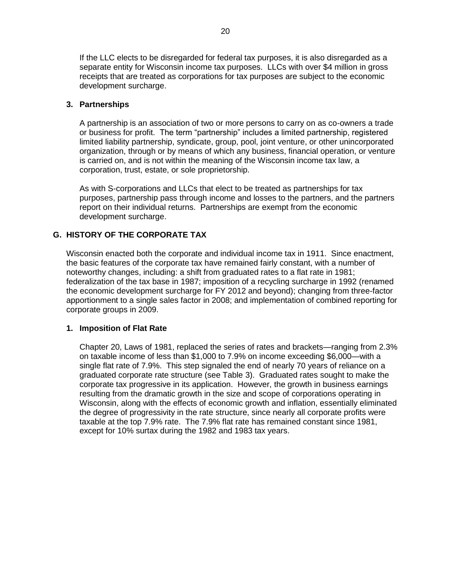If the LLC elects to be disregarded for federal tax purposes, it is also disregarded as a separate entity for Wisconsin income tax purposes. LLCs with over \$4 million in gross receipts that are treated as corporations for tax purposes are subject to the economic development surcharge.

## **3. Partnerships**

A partnership is an association of two or more persons to carry on as co-owners a trade or business for profit. The term "partnership" includes a limited partnership, registered limited liability partnership, syndicate, group, pool, joint venture, or other unincorporated organization, through or by means of which any business, financial operation, or venture is carried on, and is not within the meaning of the Wisconsin income tax law, a corporation, trust, estate, or sole proprietorship.

As with S-corporations and LLCs that elect to be treated as partnerships for tax purposes, partnership pass through income and losses to the partners, and the partners report on their individual returns. Partnerships are exempt from the economic development surcharge.

# <span id="page-19-0"></span>**G. HISTORY OF THE CORPORATE TAX**

Wisconsin enacted both the corporate and individual income tax in 1911. Since enactment, the basic features of the corporate tax have remained fairly constant, with a number of noteworthy changes, including: a shift from graduated rates to a flat rate in 1981; federalization of the tax base in 1987; imposition of a recycling surcharge in 1992 (renamed the economic development surcharge for FY 2012 and beyond); changing from three-factor apportionment to a single sales factor in 2008; and implementation of combined reporting for corporate groups in 2009.

# **1. Imposition of Flat Rate**

Chapter 20, Laws of 1981, replaced the series of rates and brackets—ranging from 2.3% on taxable income of less than \$1,000 to 7.9% on income exceeding \$6,000—with a single flat rate of 7.9%. This step signaled the end of nearly 70 years of reliance on a graduated corporate rate structure (see Table 3). Graduated rates sought to make the corporate tax progressive in its application. However, the growth in business earnings resulting from the dramatic growth in the size and scope of corporations operating in Wisconsin, along with the effects of economic growth and inflation, essentially eliminated the degree of progressivity in the rate structure, since nearly all corporate profits were taxable at the top 7.9% rate. The 7.9% flat rate has remained constant since 1981, except for 10% surtax during the 1982 and 1983 tax years.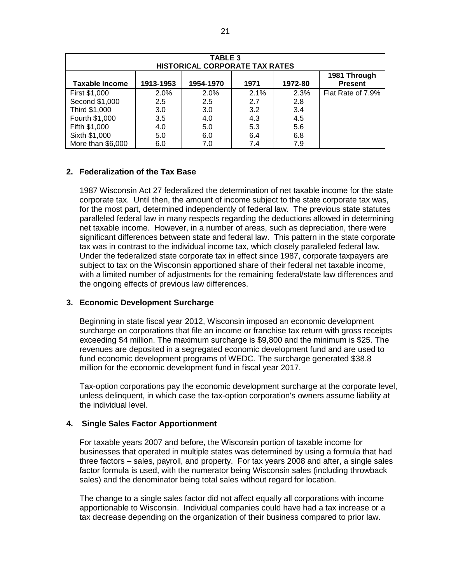| TABLE 3<br><b>HISTORICAL CORPORATE TAX RATES</b>                                                     |      |      |      |      |                   |  |
|------------------------------------------------------------------------------------------------------|------|------|------|------|-------------------|--|
| 1981 Through<br>1913-1953<br>1954-1970<br><b>Taxable Income</b><br>1972-80<br>1971<br><b>Present</b> |      |      |      |      |                   |  |
| First \$1,000                                                                                        | 2.0% | 2.0% | 2.1% | 2.3% | Flat Rate of 7.9% |  |
| Second \$1,000                                                                                       | 2.5  | 2.5  | 2.7  | 2.8  |                   |  |
| Third \$1,000                                                                                        | 3.0  | 3.0  | 3.2  | 3.4  |                   |  |
| Fourth \$1,000                                                                                       | 3.5  | 4.0  | 4.3  | 4.5  |                   |  |
| Fifth \$1,000                                                                                        | 4.0  | 5.0  | 5.3  | 5.6  |                   |  |
| Sixth \$1,000                                                                                        | 5.0  | 6.0  | 6.4  | 6.8  |                   |  |
| More than \$6,000                                                                                    | 6.0  | 7.0  | 7.4  | 7.9  |                   |  |

# **2. Federalization of the Tax Base**

1987 Wisconsin Act 27 federalized the determination of net taxable income for the state corporate tax. Until then, the amount of income subject to the state corporate tax was, for the most part, determined independently of federal law. The previous state statutes paralleled federal law in many respects regarding the deductions allowed in determining net taxable income. However, in a number of areas, such as depreciation, there were significant differences between state and federal law. This pattern in the state corporate tax was in contrast to the individual income tax, which closely paralleled federal law. Under the federalized state corporate tax in effect since 1987, corporate taxpayers are subject to tax on the Wisconsin apportioned share of their federal net taxable income, with a limited number of adjustments for the remaining federal/state law differences and the ongoing effects of previous law differences.

# **3. Economic Development Surcharge**

Beginning in state fiscal year 2012, Wisconsin imposed an economic development surcharge on corporations that file an income or franchise tax return with gross receipts exceeding \$4 million. The maximum surcharge is \$9,800 and the minimum is \$25. The revenues are deposited in a segregated economic development fund and are used to fund economic development programs of WEDC. The surcharge generated \$38.8 million for the economic development fund in fiscal year 2017.

Tax-option corporations pay the economic development surcharge at the corporate level, unless delinquent, in which case the tax-option corporation's owners assume liability at the individual level.

# **4. Single Sales Factor Apportionment**

For taxable years 2007 and before, the Wisconsin portion of taxable income for businesses that operated in multiple states was determined by using a formula that had three factors – sales, payroll, and property. For tax years 2008 and after, a single sales factor formula is used, with the numerator being Wisconsin sales (including throwback sales) and the denominator being total sales without regard for location.

The change to a single sales factor did not affect equally all corporations with income apportionable to Wisconsin. Individual companies could have had a tax increase or a tax decrease depending on the organization of their business compared to prior law.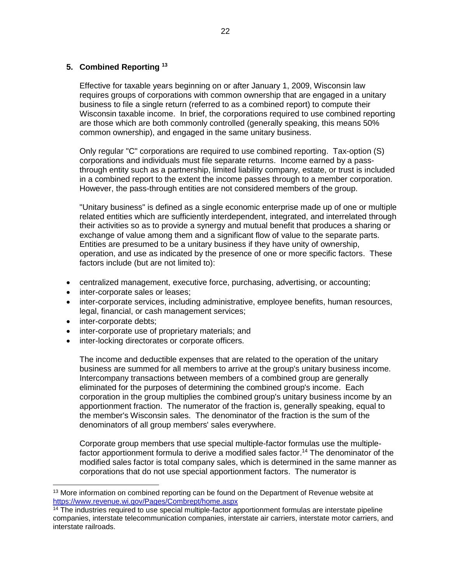## **5. Combined Reporting <sup>13</sup>**

Effective for taxable years beginning on or after January 1, 2009, Wisconsin law requires groups of corporations with common ownership that are engaged in a unitary business to file a single return (referred to as a combined report) to compute their Wisconsin taxable income. In brief, the corporations required to use combined reporting are those which are both commonly controlled (generally speaking, this means 50% common ownership), and engaged in the same unitary business.

Only regular "C" corporations are required to use combined reporting. Tax-option (S) corporations and individuals must file separate returns. Income earned by a passthrough entity such as a partnership, limited liability company, estate, or trust is included in a combined report to the extent the income passes through to a member corporation. However, the pass-through entities are not considered members of the group.

"Unitary business" is defined as a single economic enterprise made up of one or multiple related entities which are sufficiently interdependent, integrated, and interrelated through their activities so as to provide a synergy and mutual benefit that produces a sharing or exchange of value among them and a significant flow of value to the separate parts. Entities are presumed to be a unitary business if they have unity of ownership, operation, and use as indicated by the presence of one or more specific factors. These factors include (but are not limited to):

- centralized management, executive force, purchasing, advertising, or accounting;
- inter-corporate sales or leases;
- inter-corporate services, including administrative, employee benefits, human resources, legal, financial, or cash management services;
- inter-corporate debts:

- inter-corporate use of proprietary materials; and
- inter-locking directorates or corporate officers.

The income and deductible expenses that are related to the operation of the unitary business are summed for all members to arrive at the group's unitary business income. Intercompany transactions between members of a combined group are generally eliminated for the purposes of determining the combined group's income. Each corporation in the group multiplies the combined group's unitary business income by an apportionment fraction. The numerator of the fraction is, generally speaking, equal to the member's Wisconsin sales. The denominator of the fraction is the sum of the denominators of all group members' sales everywhere.

Corporate group members that use special multiple-factor formulas use the multiplefactor apportionment formula to derive a modified sales factor.<sup>14</sup> The denominator of the modified sales factor is total company sales, which is determined in the same manner as corporations that do not use special apportionment factors. The numerator is

<sup>&</sup>lt;sup>13</sup> More information on combined reporting can be found on the Department of Revenue website at <https://www.revenue.wi.gov/Pages/Combrept/home.aspx>

<sup>&</sup>lt;sup>14</sup> The industries required to use special multiple-factor apportionment formulas are interstate pipeline companies, interstate telecommunication companies, interstate air carriers, interstate motor carriers, and interstate railroads.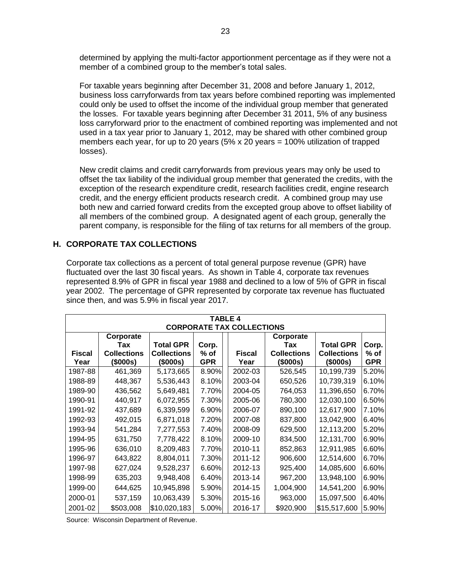determined by applying the multi-factor apportionment percentage as if they were not a member of a combined group to the member's total sales.

For taxable years beginning after December 31, 2008 and before January 1, 2012, business loss carryforwards from tax years before combined reporting was implemented could only be used to offset the income of the individual group member that generated the losses. For taxable years beginning after December 31 2011, 5% of any business loss carryforward prior to the enactment of combined reporting was implemented and not used in a tax year prior to January 1, 2012, may be shared with other combined group members each year, for up to 20 years (5% x 20 years = 100% utilization of trapped losses).

New credit claims and credit carryforwards from previous years may only be used to offset the tax liability of the individual group member that generated the credits, with the exception of the research expenditure credit, research facilities credit, engine research credit, and the energy efficient products research credit. A combined group may use both new and carried forward credits from the excepted group above to offset liability of all members of the combined group. A designated agent of each group, generally the parent company, is responsible for the filing of tax returns for all members of the group.

# **H. CORPORATE TAX COLLECTIONS**

Corporate tax collections as a percent of total general purpose revenue (GPR) have fluctuated over the last 30 fiscal years. As shown in Table 4, corporate tax revenues represented 8.9% of GPR in fiscal year 1988 and declined to a low of 5% of GPR in fiscal year 2002. The percentage of GPR represented by corporate tax revenue has fluctuated since then, and was 5.9% in fiscal year 2017.

| <b>TABLE 4</b>                   |                    |                    |            |               |                    |                    |            |  |
|----------------------------------|--------------------|--------------------|------------|---------------|--------------------|--------------------|------------|--|
| <b>CORPORATE TAX COLLECTIONS</b> |                    |                    |            |               |                    |                    |            |  |
|                                  | Corporate          |                    |            |               | Corporate          |                    |            |  |
|                                  | Tax                | <b>Total GPR</b>   | Corp.      |               | Tax                | <b>Total GPR</b>   | Corp.      |  |
| <b>Fiscal</b>                    | <b>Collections</b> | <b>Collections</b> | % of       | <b>Fiscal</b> | <b>Collections</b> | <b>Collections</b> | % of       |  |
| Year                             | (\$000s)           | (\$000s)           | <b>GPR</b> | Year          | (\$000s)           | (\$000s)           | <b>GPR</b> |  |
| 1987-88                          | 461,369            | 5,173,665          | 8.90%      | 2002-03       | 526,545            | 10,199,739         | 5.20%      |  |
| 1988-89                          | 448,367            | 5,536,443          | 8.10%      | 2003-04       | 650,526            | 10,739,319         | 6.10%      |  |
| 1989-90                          | 436,562            | 5,649,481          | 7.70%      | 2004-05       | 764,053            | 11,396,650         | 6.70%      |  |
| 1990-91                          | 440,917            | 6,072,955          | 7.30%      | 2005-06       | 780,300            | 12,030,100         | 6.50%      |  |
| 1991-92                          | 437,689            | 6,339,599          | 6.90%      | 2006-07       | 890,100            | 12,617,900         | 7.10%      |  |
| 1992-93                          | 492,015            | 6,871,018          | 7.20%      | 2007-08       | 837,800            | 13,042,900         | 6.40%      |  |
| 1993-94                          | 541,284            | 7,277,553          | 7.40%      | 2008-09       | 629,500            | 12,113,200         | 5.20%      |  |
| 1994-95                          | 631,750            | 7,778,422          | 8.10%      | 2009-10       | 834,500            | 12,131,700         | 6.90%      |  |
| 1995-96                          | 636,010            | 8,209,483          | 7.70%      | 2010-11       | 852,863            | 12,911,985         | 6.60%      |  |
| 1996-97                          | 643,822            | 8,804,011          | 7.30%      | 2011-12       | 906,600            | 12,514,600         | 6.70%      |  |
| 1997-98                          | 627,024            | 9,528,237          | 6.60%      | 2012-13       | 925,400            | 14,085,600         | 6.60%      |  |
| 1998-99                          | 635,203            | 9,948,408          | 6.40%      | 2013-14       | 967,200            | 13,948,100         | 6.90%      |  |
| 1999-00                          | 644,625            | 10,945,898         | 5.90%      | 2014-15       | 1,004,900          | 14,541,200         | 6.90%      |  |
| 2000-01                          | 537,159            | 10,063,439         | 5.30%      | 2015-16       | 963,000            | 15,097,500         | 6.40%      |  |
| 2001-02                          | \$503,008          | \$10,020,183       | 5.00%      | 2016-17       | \$920,900          | \$15,517,600       | 5.90%      |  |

Source: Wisconsin Department of Revenue.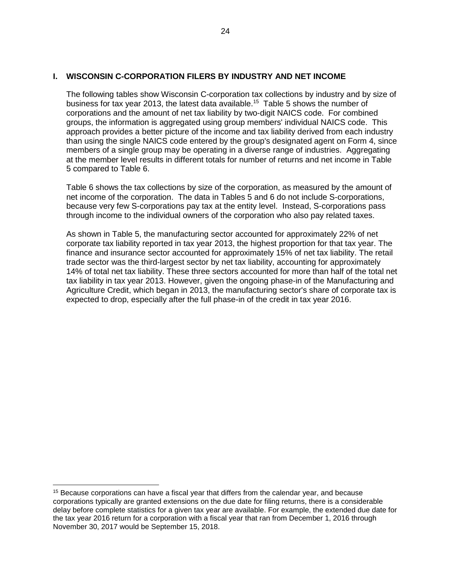# <span id="page-23-0"></span>**I. WISCONSIN C-CORPORATION FILERS BY INDUSTRY AND NET INCOME**

The following tables show Wisconsin C-corporation tax collections by industry and by size of business for tax year 2013, the latest data available. <sup>15</sup> Table 5 shows the number of corporations and the amount of net tax liability by two-digit NAICS code. For combined groups, the information is aggregated using group members' individual NAICS code. This approach provides a better picture of the income and tax liability derived from each industry than using the single NAICS code entered by the group's designated agent on Form 4, since members of a single group may be operating in a diverse range of industries. Aggregating at the member level results in different totals for number of returns and net income in Table 5 compared to Table 6.

Table 6 shows the tax collections by size of the corporation, as measured by the amount of net income of the corporation. The data in Tables 5 and 6 do not include S-corporations, because very few S-corporations pay tax at the entity level. Instead, S-corporations pass through income to the individual owners of the corporation who also pay related taxes.

As shown in Table 5, the manufacturing sector accounted for approximately 22% of net corporate tax liability reported in tax year 2013, the highest proportion for that tax year. The finance and insurance sector accounted for approximately 15% of net tax liability. The retail trade sector was the third-largest sector by net tax liability, accounting for approximately 14% of total net tax liability. These three sectors accounted for more than half of the total net tax liability in tax year 2013. However, given the ongoing phase-in of the Manufacturing and Agriculture Credit, which began in 2013, the manufacturing sector's share of corporate tax is expected to drop, especially after the full phase-in of the credit in tax year 2016.

<sup>15</sup> Because corporations can have a fiscal year that differs from the calendar year, and because corporations typically are granted extensions on the due date for filing returns, there is a considerable delay before complete statistics for a given tax year are available. For example, the extended due date for the tax year 2016 return for a corporation with a fiscal year that ran from December 1, 2016 through November 30, 2017 would be September 15, 2018.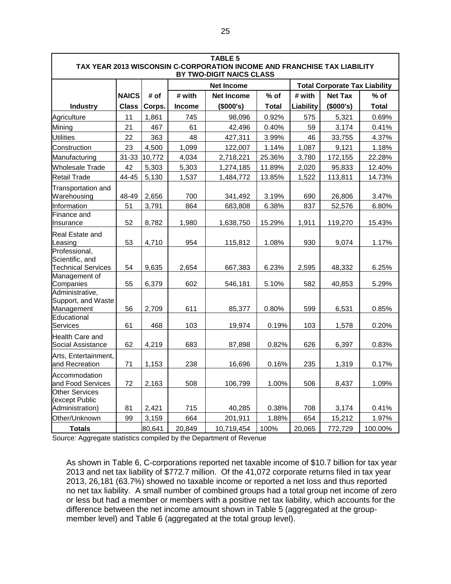| <b>TABLE 5</b><br>TAX YEAR 2013 WISCONSIN C-CORPORATION INCOME AND FRANCHISE TAX LIABILITY<br>BY TWO-DIGIT NAICS CLASS |              |        |                   |                   |              |                                      |                |              |  |
|------------------------------------------------------------------------------------------------------------------------|--------------|--------|-------------------|-------------------|--------------|--------------------------------------|----------------|--------------|--|
|                                                                                                                        |              |        | <b>Net Income</b> |                   |              | <b>Total Corporate Tax Liability</b> |                |              |  |
|                                                                                                                        | <b>NAICS</b> | # of   | # with            | <b>Net Income</b> | $%$ of       | # with                               | <b>Net Tax</b> | $%$ of       |  |
| <b>Industry</b>                                                                                                        | <b>Class</b> | Corps. | <b>Income</b>     | (\$000's)         | <b>Total</b> | Liability                            | (\$000's)      | <b>Total</b> |  |
| Agriculture                                                                                                            | 11           | 1,861  | 745               | 98,096            | 0.92%        | 575                                  | 5,321          | 0.69%        |  |
| Mining                                                                                                                 | 21           | 467    | 61                | 42,496            | 0.40%        | 59                                   | 3,174          | 0.41%        |  |
| <b>Utilities</b>                                                                                                       | 22           | 363    | 48                | 427,311           | 3.99%        | 46                                   | 33,755         | 4.37%        |  |
| Construction                                                                                                           | 23           | 4,500  | 1,099             | 122,007           | 1.14%        | 1,087                                | 9,121          | 1.18%        |  |
| Manufacturing                                                                                                          | $31 - 33$    | 10,772 | 4,034             | 2,718,221         | 25.36%       | 3,780                                | 172,155        | 22.28%       |  |
| Wholesale Trade                                                                                                        | 42           | 5,303  | 5,303             | 1,274,185         | 11.89%       | 2,020                                | 95,833         | 12.40%       |  |
| <b>Retail Trade</b>                                                                                                    | 44-45        | 5,130  | 1,537             | 1,484,772         | 13.85%       | 1,522                                | 113,811        | 14.73%       |  |
| Transportation and<br>Warehousing                                                                                      | 48-49        | 2,656  | 700               | 341,492           | 3.19%        | 690                                  | 26,806         | 3.47%        |  |
| Information                                                                                                            | 51           | 3,791  | 864               | 683,808           | 6.38%        | 837                                  | 52,576         | 6.80%        |  |
| Finance and<br>Insurance                                                                                               | 52           | 8,782  | 1,980             | 1,638,750         | 15.29%       | 1,911                                | 119,270        | 15.43%       |  |
| <b>Real Estate and</b><br>Leasing                                                                                      | 53           | 4,710  | 954               | 115,812           | 1.08%        | 930                                  | 9,074          | 1.17%        |  |
| Professional,<br>Scientific, and<br>Technical Services                                                                 | 54           | 9,635  | 2,654             | 667,383           | 6.23%        | 2,595                                | 48,332         | 6.25%        |  |
| Management of<br>Companies                                                                                             | 55           | 6,379  | 602               | 546,181           | 5.10%        | 582                                  | 40,853         | 5.29%        |  |
| Administrative,<br>Support, and Waste<br>Management                                                                    | 56           | 2,709  | 611               | 85,377            | 0.80%        | 599                                  | 6,531          | 0.85%        |  |
| Educational<br><b>Services</b>                                                                                         | 61           | 468    | 103               | 19,974            | 0.19%        | 103                                  | 1,578          | 0.20%        |  |
| Health Care and<br>Social Assistance                                                                                   | 62           | 4,219  | 683               | 87,898            | 0.82%        | 626                                  | 6,397          | 0.83%        |  |
| Arts, Entertainment,<br>and Recreation                                                                                 | 71           | 1,153  | 238               | 16,696            | 0.16%        | 235                                  | 1,319          | 0.17%        |  |
| Accommodation<br>and Food Services                                                                                     | 72           | 2,163  | 508               | 106,799           | 1.00%        | 506                                  | 8,437          | 1.09%        |  |
| <b>Other Services</b><br>(except Public<br>Administration)                                                             | 81           | 2,421  | 715               | 40,285            | 0.38%        | 708                                  | 3,174          | 0.41%        |  |
| Other/Unknown                                                                                                          | 99           | 3,159  | 664               | 201,911           | 1.88%        | 654                                  | 15,212         | 1.97%        |  |
| <b>Totals</b>                                                                                                          |              | 80,641 | 20,849            | 10,719,454        | 100%         | 20,065                               | 772,729        | 100.00%      |  |

Source: Aggregate statistics compiled by the Department of Revenue

As shown in Table 6, C-corporations reported net taxable income of \$10.7 billion for tax year 2013 and net tax liability of \$772.7 million. Of the 41,072 corporate returns filed in tax year 2013, 26,181 (63.7%) showed no taxable income or reported a net loss and thus reported no net tax liability. A small number of combined groups had a total group net income of zero or less but had a member or members with a positive net tax liability, which accounts for the difference between the net income amount shown in Table 5 (aggregated at the groupmember level) and Table 6 (aggregated at the total group level).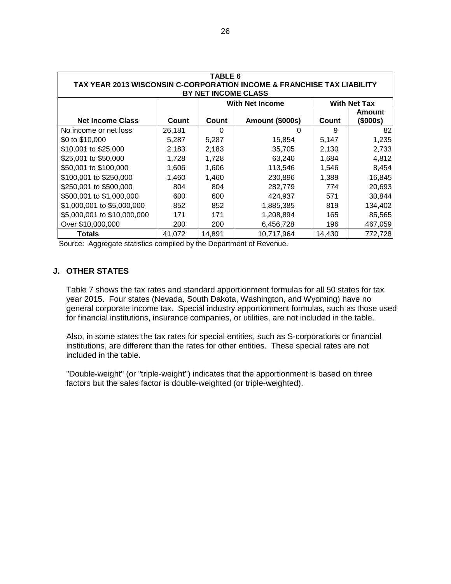| TABLE 6                                                                |                     |                                               |                        |        |                |  |  |  |
|------------------------------------------------------------------------|---------------------|-----------------------------------------------|------------------------|--------|----------------|--|--|--|
| TAX YEAR 2013 WISCONSIN C-CORPORATION INCOME & FRANCHISE TAX LIABILITY |                     |                                               |                        |        |                |  |  |  |
|                                                                        | BY NET INCOME CLASS |                                               |                        |        |                |  |  |  |
|                                                                        |                     | <b>With Net Tax</b><br><b>With Net Income</b> |                        |        |                |  |  |  |
|                                                                        |                     |                                               |                        |        | <b>Amount</b>  |  |  |  |
| <b>Net Income Class</b>                                                | Count               | Count                                         | <b>Amount (\$000s)</b> | Count  | $($ \$000s $)$ |  |  |  |
| No income or net loss                                                  | 26,181              | $\Omega$                                      | Ω                      | 9      | 82             |  |  |  |
| \$0 to \$10,000                                                        | 5,287               | 5,287                                         | 15,854                 | 5,147  | 1,235          |  |  |  |
| \$10,001 to \$25,000                                                   | 2,183               | 2,183                                         | 35,705                 | 2,130  | 2,733          |  |  |  |
| \$25,001 to \$50,000                                                   | 1,728               | 1,728                                         | 63,240                 | 1,684  | 4,812          |  |  |  |
| \$50,001 to \$100,000                                                  | 1,606               | 1,606                                         | 113,546                | 1,546  | 8,454          |  |  |  |
| \$100,001 to \$250,000                                                 | 1,460               | 1,460                                         | 230,896                | 1,389  | 16,845         |  |  |  |
| \$250,001 to \$500,000                                                 | 804                 | 804                                           | 282,779                | 774    | 20,693         |  |  |  |
| \$500,001 to \$1,000,000                                               | 600                 | 600                                           | 424,937                | 571    | 30,844         |  |  |  |
| \$1,000,001 to \$5,000,000                                             | 852                 | 852                                           | 1,885,385              | 819    | 134,402        |  |  |  |
| \$5,000,001 to \$10,000,000                                            | 171                 | 171                                           | 1,208,894              | 165    | 85,565         |  |  |  |
| Over \$10,000,000                                                      | 200                 | 200                                           | 6,456,728              | 196    | 467,059        |  |  |  |
| Totals                                                                 | 41,072              | 14,891                                        | 10,717,964             | 14,430 | 772,728        |  |  |  |

Source: Aggregate statistics compiled by the Department of Revenue.

# <span id="page-25-0"></span>**J. OTHER STATES**

Table 7 shows the tax rates and standard apportionment formulas for all 50 states for tax year 2015. Four states (Nevada, South Dakota, Washington, and Wyoming) have no general corporate income tax. Special industry apportionment formulas, such as those used for financial institutions, insurance companies, or utilities, are not included in the table.

Also, in some states the tax rates for special entities, such as S-corporations or financial institutions, are different than the rates for other entities. These special rates are not included in the table.

"Double-weight" (or "triple-weight") indicates that the apportionment is based on three factors but the sales factor is double-weighted (or triple-weighted).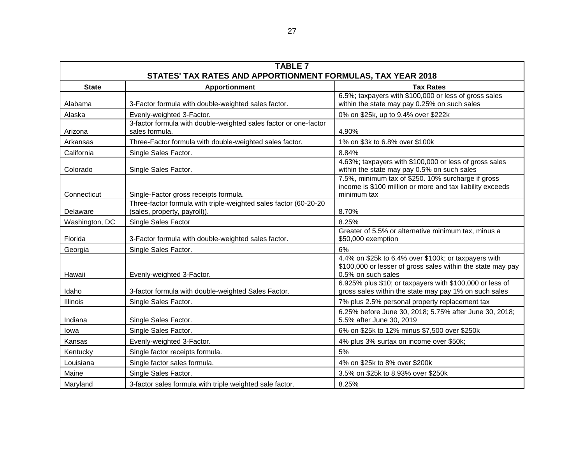| <b>TABLE 7</b><br>STATES' TAX RATES AND APPORTIONMENT FORMULAS, TAX YEAR 2018 |                                                                                                  |                                                                                                                                           |  |  |
|-------------------------------------------------------------------------------|--------------------------------------------------------------------------------------------------|-------------------------------------------------------------------------------------------------------------------------------------------|--|--|
| <b>State</b>                                                                  | <b>Apportionment</b>                                                                             | <b>Tax Rates</b>                                                                                                                          |  |  |
| Alabama                                                                       | 3-Factor formula with double-weighted sales factor.                                              | 6.5%; taxpayers with \$100,000 or less of gross sales<br>within the state may pay 0.25% on such sales                                     |  |  |
| Alaska                                                                        | Evenly-weighted 3-Factor.                                                                        | 0% on \$25k, up to 9.4% over \$222k                                                                                                       |  |  |
| Arizona                                                                       | 3-factor formula with double-weighted sales factor or one-factor<br>sales formula.               | 4.90%                                                                                                                                     |  |  |
| Arkansas                                                                      | Three-Factor formula with double-weighted sales factor.                                          | 1% on \$3k to 6.8% over \$100k                                                                                                            |  |  |
| California                                                                    | Single Sales Factor.                                                                             | 8.84%                                                                                                                                     |  |  |
| Colorado                                                                      | Single Sales Factor.                                                                             | 4.63%; taxpayers with \$100,000 or less of gross sales<br>within the state may pay 0.5% on such sales                                     |  |  |
| Connecticut                                                                   | Single-Factor gross receipts formula.                                                            | 7.5%, minimum tax of \$250. 10% surcharge if gross<br>income is \$100 million or more and tax liability exceeds<br>minimum tax            |  |  |
| Delaware                                                                      | Three-factor formula with triple-weighted sales factor (60-20-20<br>(sales, property, payroll)). | 8.70%                                                                                                                                     |  |  |
| Washington, DC                                                                | Single Sales Factor                                                                              | 8.25%                                                                                                                                     |  |  |
| Florida                                                                       | 3-Factor formula with double-weighted sales factor.                                              | Greater of 5.5% or alternative minimum tax, minus a<br>\$50,000 exemption                                                                 |  |  |
| Georgia                                                                       | Single Sales Factor.                                                                             | 6%                                                                                                                                        |  |  |
| Hawaii                                                                        | Evenly-weighted 3-Factor.                                                                        | 4.4% on \$25k to 6.4% over \$100k; or taxpayers with<br>\$100,000 or lesser of gross sales within the state may pay<br>0.5% on such sales |  |  |
| Idaho                                                                         | 3-factor formula with double-weighted Sales Factor.                                              | 6.925% plus \$10; or taxpayers with \$100,000 or less of<br>gross sales within the state may pay 1% on such sales                         |  |  |
| Illinois                                                                      | Single Sales Factor.                                                                             | 7% plus 2.5% personal property replacement tax                                                                                            |  |  |
| Indiana                                                                       | Single Sales Factor.                                                                             | 6.25% before June 30, 2018; 5.75% after June 30, 2018;<br>5.5% after June 30, 2019                                                        |  |  |
| lowa                                                                          | Single Sales Factor.                                                                             | 6% on \$25k to 12% minus \$7,500 over \$250k                                                                                              |  |  |
| Kansas                                                                        | Evenly-weighted 3-Factor.                                                                        | 4% plus 3% surtax on income over \$50k;                                                                                                   |  |  |
| Kentucky                                                                      | Single factor receipts formula.                                                                  | 5%                                                                                                                                        |  |  |
| Louisiana                                                                     | Single factor sales formula.                                                                     | 4% on \$25k to 8% over \$200k                                                                                                             |  |  |
| Maine                                                                         | Single Sales Factor.                                                                             | 3.5% on \$25k to 8.93% over \$250k                                                                                                        |  |  |
| Maryland                                                                      | 3-factor sales formula with triple weighted sale factor.                                         | 8.25%                                                                                                                                     |  |  |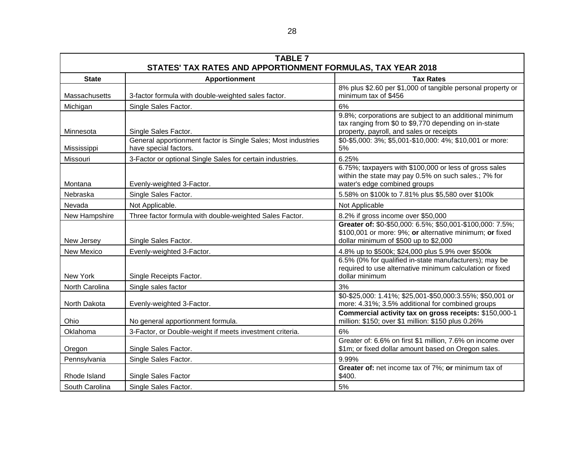| <b>TABLE 7</b><br>STATES' TAX RATES AND APPORTIONMENT FORMULAS, TAX YEAR 2018 |                                                                                        |                                                                                                                                                               |  |  |
|-------------------------------------------------------------------------------|----------------------------------------------------------------------------------------|---------------------------------------------------------------------------------------------------------------------------------------------------------------|--|--|
| <b>State</b>                                                                  | <b>Apportionment</b>                                                                   | <b>Tax Rates</b>                                                                                                                                              |  |  |
| Massachusetts                                                                 | 3-factor formula with double-weighted sales factor.                                    | 8% plus \$2.60 per \$1,000 of tangible personal property or<br>minimum tax of \$456                                                                           |  |  |
| Michigan                                                                      | Single Sales Factor.                                                                   | 6%                                                                                                                                                            |  |  |
| Minnesota                                                                     | Single Sales Factor.                                                                   | 9.8%; corporations are subject to an additional minimum<br>tax ranging from \$0 to \$9,770 depending on in-state<br>property, payroll, and sales or receipts  |  |  |
| Mississippi                                                                   | General apportionment factor is Single Sales; Most industries<br>have special factors. | \$0-\$5,000: 3%; \$5,001-\$10,000: 4%; \$10,001 or more:<br>5%                                                                                                |  |  |
| Missouri                                                                      | 3-Factor or optional Single Sales for certain industries.                              | 6.25%                                                                                                                                                         |  |  |
| Montana                                                                       | Evenly-weighted 3-Factor.                                                              | 6.75%; taxpayers with \$100,000 or less of gross sales<br>within the state may pay 0.5% on such sales.; 7% for<br>water's edge combined groups                |  |  |
| Nebraska                                                                      | Single Sales Factor.                                                                   | 5.58% on \$100k to 7.81% plus \$5,580 over \$100k                                                                                                             |  |  |
| Nevada                                                                        | Not Applicable.                                                                        | Not Applicable                                                                                                                                                |  |  |
| New Hampshire                                                                 | Three factor formula with double-weighted Sales Factor.                                | 8.2% if gross income over \$50,000                                                                                                                            |  |  |
| New Jersey                                                                    | Single Sales Factor.                                                                   | Greater of: \$0-\$50,000: 6.5%; \$50,001-\$100,000: 7.5%;<br>\$100,001 or more: 9%; or alternative minimum; or fixed<br>dollar minimum of \$500 up to \$2,000 |  |  |
| New Mexico                                                                    | Evenly-weighted 3-Factor.                                                              | 4.8% up to \$500k; \$24,000 plus 5.9% over \$500k                                                                                                             |  |  |
| New York                                                                      | Single Receipts Factor.                                                                | 6.5% (0% for qualified in-state manufacturers); may be<br>required to use alternative minimum calculation or fixed<br>dollar minimum                          |  |  |
| North Carolina                                                                | Single sales factor                                                                    | 3%                                                                                                                                                            |  |  |
| North Dakota                                                                  | Evenly-weighted 3-Factor.                                                              | \$0-\$25,000: 1.41%; \$25,001-\$50,000:3.55%; \$50,001 or<br>more: 4.31%; 3.5% additional for combined groups                                                 |  |  |
| Ohio                                                                          | No general apportionment formula.                                                      | Commercial activity tax on gross receipts: \$150,000-1<br>million: \$150; over \$1 million: \$150 plus 0.26%                                                  |  |  |
| Oklahoma                                                                      | 3-Factor, or Double-weight if meets investment criteria.                               | 6%                                                                                                                                                            |  |  |
| Oregon                                                                        | Single Sales Factor.                                                                   | Greater of: 6.6% on first \$1 million, 7.6% on income over<br>\$1m; or fixed dollar amount based on Oregon sales.                                             |  |  |
| Pennsylvania                                                                  | Single Sales Factor.                                                                   | 9.99%                                                                                                                                                         |  |  |
| Rhode Island                                                                  | Single Sales Factor                                                                    | Greater of: net income tax of 7%; or minimum tax of<br>\$400.                                                                                                 |  |  |
| South Carolina                                                                | Single Sales Factor.                                                                   | 5%                                                                                                                                                            |  |  |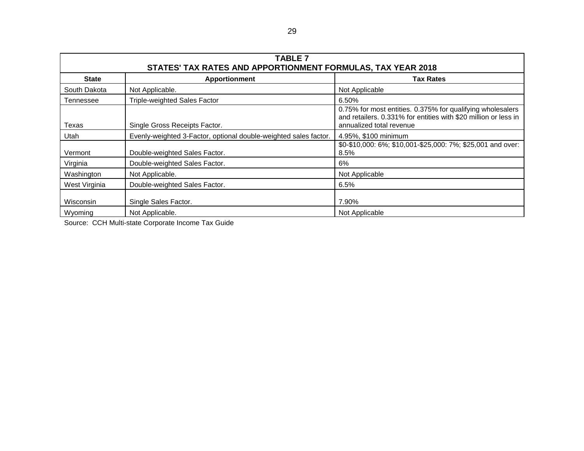| <b>TABLE 7</b><br>STATES' TAX RATES AND APPORTIONMENT FORMULAS, TAX YEAR 2018 |                                                                  |                                                                                                                                                           |  |  |  |
|-------------------------------------------------------------------------------|------------------------------------------------------------------|-----------------------------------------------------------------------------------------------------------------------------------------------------------|--|--|--|
| <b>State</b>                                                                  | <b>Apportionment</b>                                             | <b>Tax Rates</b>                                                                                                                                          |  |  |  |
| South Dakota                                                                  | Not Applicable.                                                  | Not Applicable                                                                                                                                            |  |  |  |
| Tennessee                                                                     | <b>Triple-weighted Sales Factor</b>                              | 6.50%                                                                                                                                                     |  |  |  |
| Texas                                                                         | Single Gross Receipts Factor.                                    | 0.75% for most entities. 0.375% for qualifying wholesalers<br>and retailers. 0.331% for entities with \$20 million or less in<br>annualized total revenue |  |  |  |
| Utah                                                                          | Evenly-weighted 3-Factor, optional double-weighted sales factor. | 4.95%, \$100 minimum                                                                                                                                      |  |  |  |
| Vermont                                                                       | Double-weighted Sales Factor.                                    | \$0-\$10,000: 6%; \$10,001-\$25,000: 7%; \$25,001 and over:<br>8.5%                                                                                       |  |  |  |
| Virginia                                                                      | Double-weighted Sales Factor.                                    | 6%                                                                                                                                                        |  |  |  |
| Washington                                                                    | Not Applicable.                                                  | Not Applicable                                                                                                                                            |  |  |  |
| West Virginia                                                                 | Double-weighted Sales Factor.                                    | 6.5%                                                                                                                                                      |  |  |  |
| Wisconsin                                                                     | Single Sales Factor.                                             | 7.90%                                                                                                                                                     |  |  |  |
| Wyoming                                                                       | Not Applicable.                                                  | Not Applicable                                                                                                                                            |  |  |  |

Source: CCH Multi-state Corporate Income Tax Guide